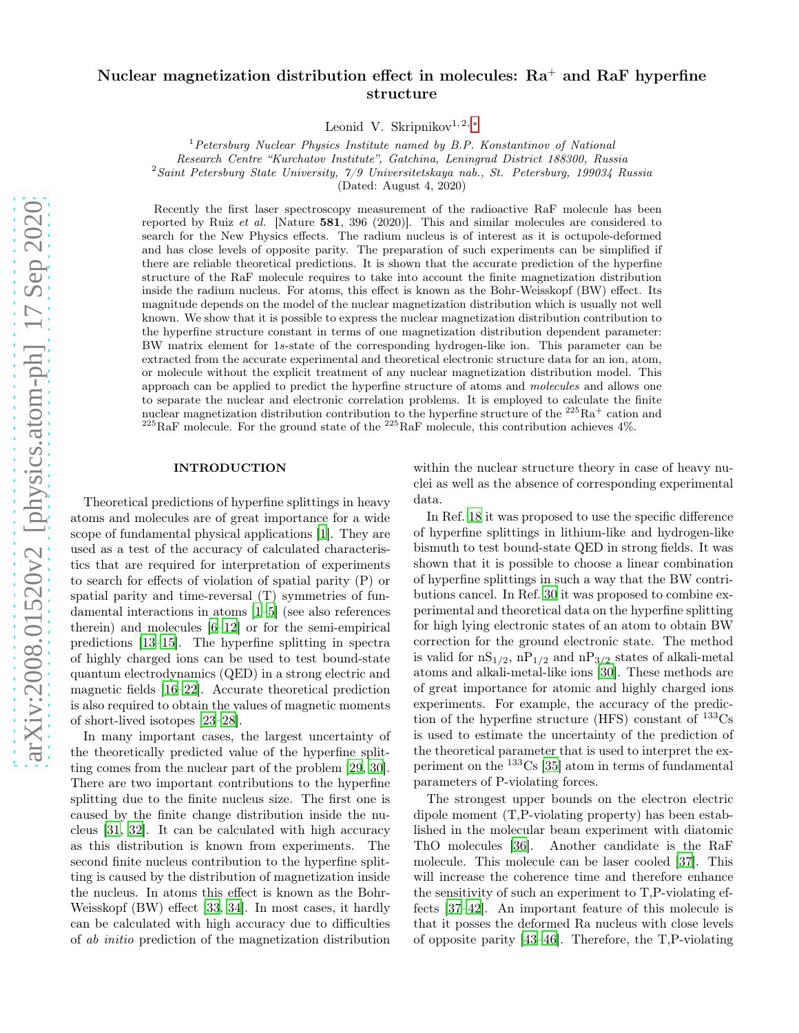# arXiv:2008.01520v2 [physics.atom-ph] 17 Sep 2020 [arXiv:2008.01520v2 \[physics.atom-ph\] 17 Sep 2020](http://arxiv.org/abs/2008.01520v2)

# Nuclear magnetization distribution effect in molecules:  $Ra^+$  and RaF hyperfine structure

Leonid V. Skripnikov<sup>1,2,\*</sup>

 $1$  Petersburg Nuclear Physics Institute named by B.P. Konstantinov of National Research Centre "Kurchatov Institute", Gatchina, Leningrad District 188300, Russia  $2$ Saint Petersburg State University,  $7/9$  Universitetskaya nab., St. Petersburg, 199034 Russia

(Dated: August 4, 2020)

Recently the first laser spectroscopy measurement of the radioactive RaF molecule has been reported by Ruiz et al. [Nature 581, 396 (2020)]. This and similar molecules are considered to search for the New Physics effects. The radium nucleus is of interest as it is octupole-deformed and has close levels of opposite parity. The preparation of such experiments can be simplified if there are reliable theoretical predictions. It is shown that the accurate prediction of the hyperfine structure of the RaF molecule requires to take into account the finite magnetization distribution inside the radium nucleus. For atoms, this effect is known as the Bohr-Weisskopf (BW) effect. Its magnitude depends on the model of the nuclear magnetization distribution which is usually not well known. We show that it is possible to express the nuclear magnetization distribution contribution to the hyperfine structure constant in terms of one magnetization distribution dependent parameter: BW matrix element for 1s-state of the corresponding hydrogen-like ion. This parameter can be extracted from the accurate experimental and theoretical electronic structure data for an ion, atom, or molecule without the explicit treatment of any nuclear magnetization distribution model. This approach can be applied to predict the hyperfine structure of atoms and molecules and allows one to separate the nuclear and electronic correlation problems. It is employed to calculate the finite nuclear magnetization distribution contribution to the hyperfine structure of the  $^{225}\text{Ra}^+$  cation and  $^{225}$ RaF molecule. For the ground state of the  $^{225}$ RaF molecule, this contribution achieves 4%.

### INTRODUCTION

Theoretical predictions of hyperfine splittings in heavy atoms and molecules are of great importance for a wide scope of fundamental physical applications [\[1](#page-8-1)]. They are used as a test of the accuracy of calculated characteristics that are required for interpretation of experiments to search for effects of violation of spatial parity (P) or spatial parity and time-reversal (T) symmetries of fundamental interactions in atoms [\[1](#page-8-1)[–5\]](#page-8-2) (see also references therein) and molecules [\[6](#page-8-3)[–12\]](#page-8-4) or for the semi-empirical predictions [\[13](#page-8-5)[–15\]](#page-8-6). The hyperfine splitting in spectra of highly charged ions can be used to test bound-state quantum electrodynamics (QED) in a strong electric and magnetic fields [\[16](#page-8-7)[–22\]](#page-8-8). Accurate theoretical prediction is also required to obtain the values of magnetic moments of short-lived isotopes [\[23](#page-8-9)[–28](#page-8-10)].

In many important cases, the largest uncertainty of the theoretically predicted value of the hyperfine splitting comes from the nuclear part of the problem [\[29,](#page-8-11) [30\]](#page-8-12). There are two important contributions to the hyperfine splitting due to the finite nucleus size. The first one is caused by the finite change distribution inside the nucleus [\[31](#page-8-13), [32\]](#page-8-14). It can be calculated with high accuracy as this distribution is known from experiments. The second finite nucleus contribution to the hyperfine splitting is caused by the distribution of magnetization inside the nucleus. In atoms this effect is known as the Bohr-Weisskopf (BW) effect [\[33,](#page-8-15) [34\]](#page-8-16). In most cases, it hardly can be calculated with high accuracy due to difficulties of ab initio prediction of the magnetization distribution

within the nuclear structure theory in case of heavy nuclei as well as the absence of corresponding experimental data.

In Ref. [18](#page-8-17) it was proposed to use the specific difference of hyperfine splittings in lithium-like and hydrogen-like bismuth to test bound-state QED in strong fields. It was shown that it is possible to choose a linear combination of hyperfine splittings in such a way that the BW contributions cancel. In Ref. [30](#page-8-12) it was proposed to combine experimental and theoretical data on the hyperfine splitting for high lying electronic states of an atom to obtain BW correction for the ground electronic state. The method is valid for  $nS_{1/2}$ ,  $nP_{1/2}$  and  $nP_{3/2}$  states of alkali-metal atoms and alkali-metal-like ions [\[30](#page-8-12)]. These methods are of great importance for atomic and highly charged ions experiments. For example, the accuracy of the prediction of the hyperfine structure (HFS) constant of  $^{133}Cs$ is used to estimate the uncertainty of the prediction of the theoretical parameter that is used to interpret the experiment on the  $133\text{Cs}$  [\[35\]](#page-8-18) atom in terms of fundamental parameters of P-violating forces.

The strongest upper bounds on the electron electric dipole moment (T,P-violating property) has been established in the molecular beam experiment with diatomic ThO molecules [\[36\]](#page-8-19). Another candidate is the RaF molecule. This molecule can be laser cooled [\[37\]](#page-8-20). This will increase the coherence time and therefore enhance the sensitivity of such an experiment to T,P-violating effects [\[37](#page-8-20)[–42\]](#page-8-21). An important feature of this molecule is that it posses the deformed Ra nucleus with close levels of opposite parity [\[43](#page-8-22)[–46\]](#page-8-23). Therefore, the T,P-violating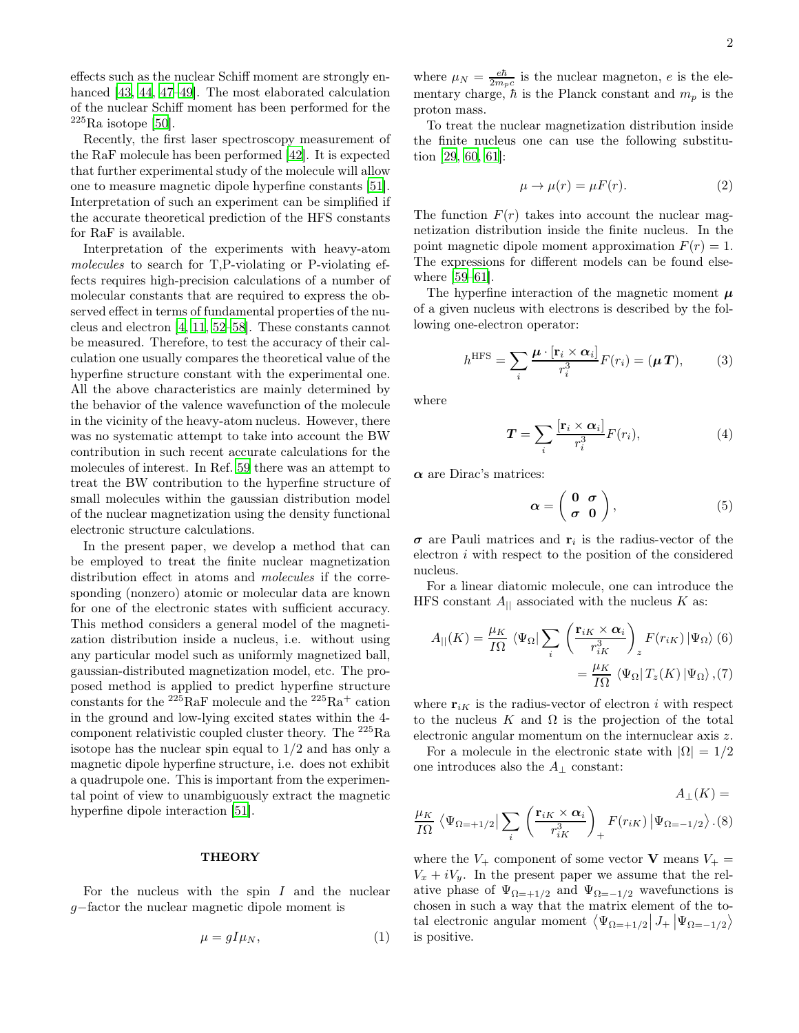effects such as the nuclear Schiff moment are strongly en-hanced [\[43,](#page-8-22) [44,](#page-8-24) [47](#page-8-25)[–49\]](#page-8-26). The most elaborated calculation of the nuclear Schiff moment has been performed for the  $225$ Ra isotope [\[50\]](#page-9-0).

Recently, the first laser spectroscopy measurement of the RaF molecule has been performed [\[42\]](#page-8-21). It is expected that further experimental study of the molecule will allow one to measure magnetic dipole hyperfine constants [\[51\]](#page-9-1). Interpretation of such an experiment can be simplified if the accurate theoretical prediction of the HFS constants for RaF is available.

Interpretation of the experiments with heavy-atom molecules to search for T,P-violating or P-violating effects requires high-precision calculations of a number of molecular constants that are required to express the observed effect in terms of fundamental properties of the nucleus and electron [\[4,](#page-8-27) [11,](#page-8-28) [52](#page-9-2)[–58\]](#page-9-3). These constants cannot be measured. Therefore, to test the accuracy of their calculation one usually compares the theoretical value of the hyperfine structure constant with the experimental one. All the above characteristics are mainly determined by the behavior of the valence wavefunction of the molecule in the vicinity of the heavy-atom nucleus. However, there was no systematic attempt to take into account the BW contribution in such recent accurate calculations for the molecules of interest. In Ref. [59](#page-9-4) there was an attempt to treat the BW contribution to the hyperfine structure of small molecules within the gaussian distribution model of the nuclear magnetization using the density functional electronic structure calculations.

In the present paper, we develop a method that can be employed to treat the finite nuclear magnetization distribution effect in atoms and *molecules* if the corresponding (nonzero) atomic or molecular data are known for one of the electronic states with sufficient accuracy. This method considers a general model of the magnetization distribution inside a nucleus, i.e. without using any particular model such as uniformly magnetized ball, gaussian-distributed magnetization model, etc. The proposed method is applied to predict hyperfine structure constants for the  $^{225}\mathrm{RaF}$  molecule and the  $^{225}\mathrm{Ra^+}$  cation in the ground and low-lying excited states within the 4 component relativistic coupled cluster theory. The <sup>225</sup>Ra isotope has the nuclear spin equal to 1/2 and has only a magnetic dipole hyperfine structure, i.e. does not exhibit a quadrupole one. This is important from the experimental point of view to unambiguously extract the magnetic hyperfine dipole interaction [\[51\]](#page-9-1).

### **THEORY**

For the nucleus with the spin  $I$  and the nuclear g−factor the nuclear magnetic dipole moment is

$$
\mu = gI\mu_N,\tag{1}
$$

where  $\mu_N = \frac{e\hbar}{2m_p c}$  is the nuclear magneton, e is the elementary charge,  $\hbar$  is the Planck constant and  $m_p$  is the proton mass.

To treat the nuclear magnetization distribution inside the finite nucleus one can use the following substitution [\[29](#page-8-11), [60](#page-9-5), [61](#page-9-6)]:

<span id="page-1-2"></span>
$$
\mu \to \mu(r) = \mu F(r). \tag{2}
$$

The function  $F(r)$  takes into account the nuclear magnetization distribution inside the finite nucleus. In the point magnetic dipole moment approximation  $F(r) = 1$ . The expressions for different models can be found elsewhere [\[59](#page-9-4)[–61\]](#page-9-6).

The hyperfine interaction of the magnetic moment  $\mu$ of a given nucleus with electrons is described by the following one-electron operator:

$$
h^{\text{HFS}} = \sum_{i} \frac{\boldsymbol{\mu} \cdot [\mathbf{r}_i \times \boldsymbol{\alpha}_i]}{r_i^3} F(r_i) = (\boldsymbol{\mu} \, \boldsymbol{T}),\tag{3}
$$

where

<span id="page-1-1"></span>
$$
T = \sum_{i} \frac{[\mathbf{r}_i \times \boldsymbol{\alpha}_i]}{r_i^3} F(r_i), \tag{4}
$$

 $\alpha$  are Dirac's matrices:

$$
\alpha = \left(\begin{array}{cc} 0 & \sigma \\ \sigma & 0 \end{array}\right),\tag{5}
$$

 $\sigma$  are Pauli matrices and  $\mathbf{r}_i$  is the radius-vector of the electron  $i$  with respect to the position of the considered nucleus.

For a linear diatomic molecule, one can introduce the HFS constant  $A_{\parallel}$  associated with the nucleus K as:

<span id="page-1-0"></span>
$$
A_{||}(K) = \frac{\mu_K}{I\Omega} \langle \Psi_{\Omega} | \sum_{i} \left( \frac{\mathbf{r}_{iK} \times \alpha_i}{r_{iK}^3} \right)_{z} F(r_{iK}) | \Psi_{\Omega} \rangle (6)
$$

$$
= \frac{\mu_K}{I\Omega} \langle \Psi_{\Omega} | T_z(K) | \Psi_{\Omega} \rangle , (7)
$$

where  $\mathbf{r}_{iK}$  is the radius-vector of electron i with respect to the nucleus K and  $\Omega$  is the projection of the total electronic angular momentum on the internuclear axis z.

For a molecule in the electronic state with  $|\Omega| = 1/2$ one introduces also the  $A_{\perp}$  constant:

$$
A_{\perp}(K) = \frac{\mu_K}{I\Omega} \left\langle \Psi_{\Omega=+1/2} \Big| \sum_{i} \left( \frac{\mathbf{r}_{iK} \times \alpha_i}{r_{iK}^3} \right)_+ F(r_{iK}) \Big| \Psi_{\Omega=-1/2} \right\rangle . (8)
$$

where the  $V_+$  component of some vector **V** means  $V_+$  =  $V_x + iV_y$ . In the present paper we assume that the relative phase of  $\Psi_{\Omega=+1/2}$  and  $\Psi_{\Omega=-1/2}$  wavefunctions is chosen in such a way that the matrix element of the total electronic angular moment  $\langle \Psi_{\Omega=+1/2} | J_+ | \Psi_{\Omega=-1/2} \rangle$ is positive.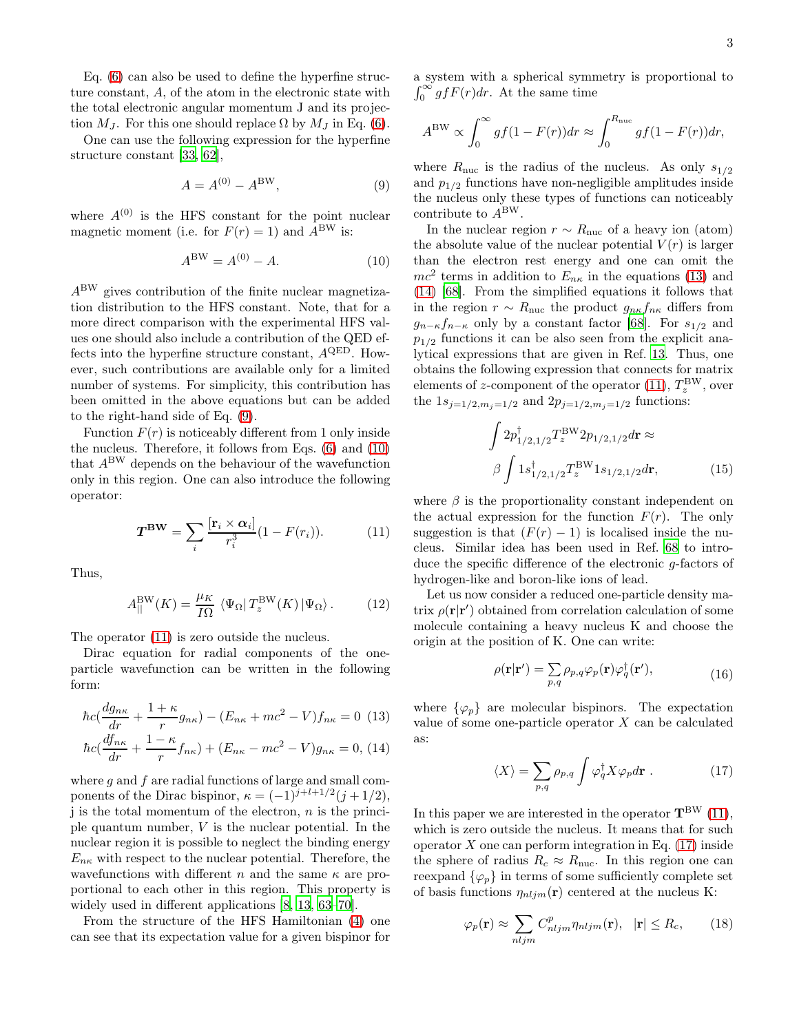Eq. [\(6\)](#page-1-0) can also be used to define the hyperfine structure constant, A, of the atom in the electronic state with the total electronic angular momentum J and its projection  $M_J$ . For this one should replace  $\Omega$  by  $M_J$  in Eq. [\(6\)](#page-1-0).

One can use the following expression for the hyperfine structure constant [\[33,](#page-8-15) [62\]](#page-9-7),

<span id="page-2-0"></span>
$$
A = A^{(0)} - A^{\text{BW}},\tag{9}
$$

where  $A^{(0)}$  is the HFS constant for the point nuclear magnetic moment (i.e. for  $F(r) = 1$ ) and  $A<sup>BW</sup>$  is:

<span id="page-2-1"></span>
$$
A^{\rm BW} = A^{(0)} - A.
$$
 (10)

ABW gives contribution of the finite nuclear magnetization distribution to the HFS constant. Note, that for a more direct comparison with the experimental HFS values one should also include a contribution of the QED effects into the hyperfine structure constant,  $A^{\text{QED}}$ . However, such contributions are available only for a limited number of systems. For simplicity, this contribution has been omitted in the above equations but can be added to the right-hand side of Eq. [\(9\)](#page-2-0).

Function  $F(r)$  is noticeably different from 1 only inside the nucleus. Therefore, it follows from Eqs. [\(6\)](#page-1-0) and [\(10\)](#page-2-1) that  $A^{\text{BW}}$  depends on the behaviour of the wavefunction only in this region. One can also introduce the following operator:

<span id="page-2-2"></span>
$$
T^{\mathbf{BW}} = \sum_{i} \frac{[\mathbf{r}_i \times \alpha_i]}{r_i^3} (1 - F(r_i)). \tag{11}
$$

Thus,

<span id="page-2-6"></span>
$$
A_{||}^{\text{BW}}(K) = \frac{\mu_K}{I\Omega} \left\langle \Psi_{\Omega} | T_z^{\text{BW}}(K) | \Psi_{\Omega} \right\rangle. \tag{12}
$$

The operator [\(11\)](#page-2-2) is zero outside the nucleus.

Dirac equation for radial components of the oneparticle wavefunction can be written in the following form:

<span id="page-2-3"></span>
$$
\hbar c\left(\frac{dg_{n\kappa}}{dr} + \frac{1+\kappa}{r}g_{n\kappa}\right) - (E_{n\kappa} + mc^2 - V)f_{n\kappa} = 0
$$
 (13)

$$
\hbar c\left(\frac{df_{n\kappa}}{dr} + \frac{1-\kappa}{r}f_{n\kappa}\right) + (E_{n\kappa} - mc^2 - V)g_{n\kappa} = 0, (14)
$$

where  $g$  and  $f$  are radial functions of large and small components of the Dirac bispinor,  $\kappa = (-1)^{j+l+1/2}(j+1/2)$ , j is the total momentum of the electron,  $n$  is the principle quantum number, V is the nuclear potential. In the nuclear region it is possible to neglect the binding energy  $E_{n\kappa}$  with respect to the nuclear potential. Therefore, the wavefunctions with different n and the same  $\kappa$  are proportional to each other in this region. This property is widely used in different applications [\[8](#page-8-29), [13](#page-8-5), [63](#page-9-8)[–70](#page-9-9)].

From the structure of the HFS Hamiltonian [\(4\)](#page-1-1) one can see that its expectation value for a given bispinor for a system with a spherical symmetry is proportional to  $\int_0^\infty g f F(r) dr$ . At the same time

$$
A^{\text{BW}} \propto \int_0^\infty gf(1 - F(r))dr \approx \int_0^{R_{\text{nuc}}} gf(1 - F(r))dr,
$$

where  $R_{\text{nuc}}$  is the radius of the nucleus. As only  $s_{1/2}$ and  $p_{1/2}$  functions have non-negligible amplitudes inside the nucleus only these types of functions can noticeably contribute to  $A^{\text{BW}}$ .

In the nuclear region  $r \sim R_{\text{nuc}}$  of a heavy ion (atom) the absolute value of the nuclear potential  $V(r)$  is larger than the electron rest energy and one can omit the  $mc^2$  terms in addition to  $E_{n\kappa}$  in the equations [\(13\)](#page-2-3) and [\(14\)](#page-2-3) [\[68\]](#page-9-10). From the simplified equations it follows that in the region  $r \sim R_{\text{nuc}}$  the product  $g_{n\kappa} f_{n\kappa}$  differs from  $g_{n-\kappa}f_{n-\kappa}$  only by a constant factor [\[68](#page-9-10)]. For  $s_{1/2}$  and  $p_{1/2}$  functions it can be also seen from the explicit analytical expressions that are given in Ref. [13.](#page-8-5) Thus, one obtains the following expression that connects for matrix elements of z-component of the operator [\(11\)](#page-2-2),  $T_z^{\text{BW}}$ , over the  $1s_{j=1/2,m_j=1/2}$  and  $2p_{j=1/2,m_j=1/2}$  functions:

<span id="page-2-7"></span>
$$
\int 2p_{1/2,1/2}^{\dagger} T_z^{\text{BW}} 2p_{1/2,1/2} d\mathbf{r} \approx
$$
\n
$$
\beta \int 1s_{1/2,1/2}^{\dagger} T_z^{\text{BW}} 1s_{1/2,1/2} d\mathbf{r},
$$
\n(15)

where  $\beta$  is the proportionality constant independent on the actual expression for the function  $F(r)$ . The only suggestion is that  $(F(r) - 1)$  is localised inside the nucleus. Similar idea has been used in Ref. [68](#page-9-10) to introduce the specific difference of the electronic g-factors of hydrogen-like and boron-like ions of lead.

Let us now consider a reduced one-particle density matrix  $\rho(\mathbf{r}|\mathbf{r}')$  obtained from correlation calculation of some molecule containing a heavy nucleus K and choose the origin at the position of K. One can write:

$$
\rho(\mathbf{r}|\mathbf{r}') = \sum_{p,q} \rho_{p,q} \varphi_p(\mathbf{r}) \varphi_q^{\dagger}(\mathbf{r}'),\tag{16}
$$

where  $\{\varphi_p\}$  are molecular bispinors. The expectation value of some one-particle operator X can be calculated as:

<span id="page-2-4"></span>
$$
\langle X \rangle = \sum_{p,q} \rho_{p,q} \int \varphi_q^{\dagger} X \varphi_p d\mathbf{r} . \qquad (17)
$$

In this paper we are interested in the operator  $T_{\text{BW}}$  [\(11\)](#page-2-2), which is zero outside the nucleus. It means that for such operator  $X$  one can perform integration in Eq. [\(17\)](#page-2-4) inside the sphere of radius  $R_c \approx R_{\text{nuc}}$ . In this region one can reexpand  $\{\varphi_p\}$  in terms of some sufficiently complete set of basis functions  $\eta_{nljm}(\mathbf{r})$  centered at the nucleus K:

<span id="page-2-5"></span>
$$
\varphi_p(\mathbf{r}) \approx \sum_{nljm} C_{nljm}^p \eta_{nljm}(\mathbf{r}), \quad |\mathbf{r}| \le R_c, \tag{18}
$$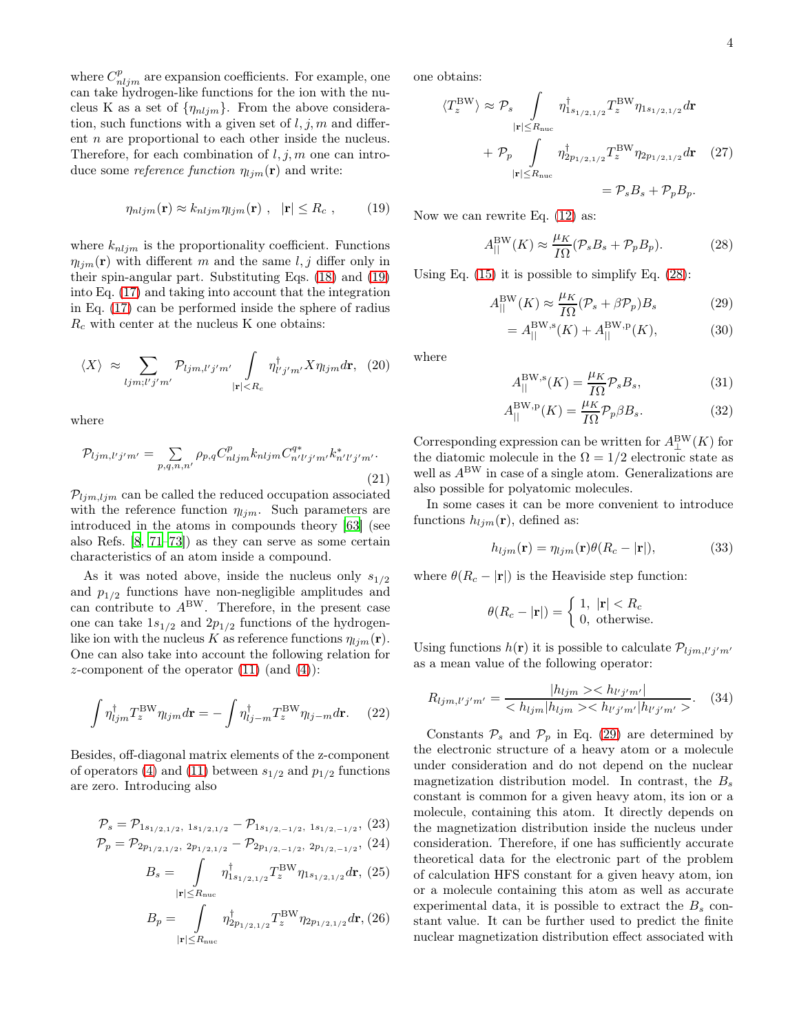where  $C_{nljm}^p$  are expansion coefficients. For example, one can take hydrogen-like functions for the ion with the nucleus K as a set of  $\{\eta_{nljm}\}$ . From the above consideration, such functions with a given set of  $l, j, m$  and different n are proportional to each other inside the nucleus. Therefore, for each combination of  $l, j, m$  one can introduce some *reference function*  $\eta_{lim}(\mathbf{r})$  and write:

<span id="page-3-0"></span>
$$
\eta_{nljm}(\mathbf{r}) \approx k_{nljm}\eta_{ljm}(\mathbf{r}) \ , \ |\mathbf{r}| \le R_c \ , \qquad (19)
$$

where  $k_{nljm}$  is the proportionality coefficient. Functions  $\eta_{lim}(\mathbf{r})$  with different m and the same l, j differ only in their spin-angular part. Substituting Eqs. [\(18\)](#page-2-5) and [\(19\)](#page-3-0) into Eq. [\(17\)](#page-2-4) and taking into account that the integration in Eq. [\(17\)](#page-2-4) can be performed inside the sphere of radius  $R_c$  with center at the nucleus K one obtains:

$$
\langle X \rangle \approx \sum_{ljm;l'j'm'} \mathcal{P}_{ljm,l'j'm'} \int_{|\mathbf{r}| < R_c} \eta_{l'j'm'}^{\dagger} X \eta_{ljm} d\mathbf{r}, \tag{20}
$$

where

$$
\mathcal{P}_{ljm,l'j'm'} = \sum_{p,q,n,n'} \rho_{p,q} C_{nljm}^p k_{nljm} C_{n'l'j'm'}^{q*} k_{n'l'j'm'}^*.
$$
\n(21)

 $\mathcal{P}_{ljm, ljm}$  can be called the reduced occupation associated with the reference function  $\eta_{lim}$ . Such parameters are introduced in the atoms in compounds theory [\[63\]](#page-9-8) (see also Refs. [\[8,](#page-8-29) [71](#page-9-11)[–73\]](#page-9-12)) as they can serve as some certain characteristics of an atom inside a compound.

As it was noted above, inside the nucleus only  $s_{1/2}$ and  $p_{1/2}$  functions have non-negligible amplitudes and can contribute to  $A^{BW}$ . Therefore, in the present case one can take  $1s_{1/2}$  and  $2p_{1/2}$  functions of the hydrogenlike ion with the nucleus K as reference functions  $\eta_{lim}(\mathbf{r}).$ One can also take into account the following relation for z-component of the operator  $(11)$  (and  $(4)$ ):

$$
\int \eta_{ljm}^{\dagger} T_z^{\text{BW}} \eta_{ljm} d\mathbf{r} = -\int \eta_{lj-m}^{\dagger} T_z^{\text{BW}} \eta_{lj-m} d\mathbf{r}.
$$
 (22)

Besides, off-diagonal matrix elements of the z-component of operators [\(4\)](#page-1-1) and [\(11\)](#page-2-2) between  $s_{1/2}$  and  $p_{1/2}$  functions are zero. Introducing also

<span id="page-3-3"></span>
$$
\mathcal{P}_s = \mathcal{P}_{1s_{1/2,1/2}, 1s_{1/2,1/2}} - \mathcal{P}_{1s_{1/2,-1/2}, 1s_{1/2,-1/2}}, (23)
$$

$$
\mathcal{P}_p = \mathcal{P}_{2p_{1/2,1/2}, 2p_{1/2,1/2}} - \mathcal{P}_{2p_{1/2,-1/2}, 2p_{1/2,-1/2}}, (24)
$$

$$
B_s = \int_{|\mathbf{r}| \le R_{\text{nuc}}} \eta_{1s_{1/2,1/2}}^{\dagger} T_z^{\text{BW}} \eta_{1s_{1/2,1/2}} d\mathbf{r}, (25)
$$

$$
B_p = \int_{|\mathbf{r}| \le R_{\text{nuc}}} \eta_{2p_{1/2,1/2}}^{\dagger} T_z^{\text{BW}} \eta_{2p_{1/2,1/2}} d\mathbf{r}, (26)
$$

one obtains:

$$
\langle T_z^{\text{BW}} \rangle \approx \mathcal{P}_s \int_{|\mathbf{r}| \le R_{\text{nuc}}} \eta_{1s_{1/2,1/2}}^{\dagger} T_z^{\text{BW}} \eta_{1s_{1/2,1/2}} d\mathbf{r} + \mathcal{P}_p \int_{|\mathbf{r}| \le R_{\text{nuc}}} \eta_{2p_{1/2,1/2}}^{\dagger} T_z^{\text{BW}} \eta_{2p_{1/2,1/2}} d\mathbf{r} \quad (27) = \mathcal{P}_s B_s + \mathcal{P}_p B_p.
$$

Now we can rewrite Eq. [\(12\)](#page-2-6) as:

<span id="page-3-1"></span>
$$
A_{||}^{\text{BW}}(K) \approx \frac{\mu_K}{I\Omega} (\mathcal{P}_s B_s + \mathcal{P}_p B_p). \tag{28}
$$

Using Eq.  $(15)$  it is possible to simplify Eq.  $(28)$ :

<span id="page-3-2"></span>
$$
A_{\parallel}^{\text{BW}}(K) \approx \frac{\mu_K}{I\Omega} (\mathcal{P}_s + \beta \mathcal{P}_p) B_s \tag{29}
$$

$$
=A_{||}^{\text{BW},\text{s}}(K) + A_{||}^{\text{BW},\text{p}}(K),\tag{30}
$$

where

$$
A_{||}^{\text{BW},\text{s}}(K) = \frac{\mu_K}{I\Omega} \mathcal{P}_s B_s,\tag{31}
$$

$$
A_{||}^{\text{BW},\text{p}}(K) = \frac{\mu_K}{I\Omega} \mathcal{P}_p \beta B_s. \tag{32}
$$

Corresponding expression can be written for  $A_{\perp}^{\text{BW}}(K)$  for the diatomic molecule in the  $\Omega = 1/2$  electronic state as well as  $A^{\text{BW}}$  in case of a single atom. Generalizations are also possible for polyatomic molecules.

In some cases it can be more convenient to introduce functions  $h_{ljm}(\mathbf{r})$ , defined as:

$$
h_{ljm}(\mathbf{r}) = \eta_{ljm}(\mathbf{r})\theta(R_c - |\mathbf{r}|),\tag{33}
$$

where  $\theta(R_c - |\mathbf{r}|)$  is the Heaviside step function:

$$
\theta(R_c - |\mathbf{r}|) = \begin{cases} 1, & |\mathbf{r}| < R_c \\ 0, & \text{otherwise.} \end{cases}
$$

Using functions  $h(\mathbf{r})$  it is possible to calculate  $\mathcal{P}_{ljm,l'j'm'}$ as a mean value of the following operator:

$$
R_{ljm,l'j'm'} = \frac{|h_{ljm} >< h_{l'j'm'}|}{\langle h_{ljm}|h_{ljm} >< h_{l'j'm'}|h_{l'j'm'} ><} \quad (34)
$$

Constants  $P_s$  and  $P_p$  in Eq. [\(29\)](#page-3-2) are determined by the electronic structure of a heavy atom or a molecule under consideration and do not depend on the nuclear magnetization distribution model. In contrast, the  $B_s$ constant is common for a given heavy atom, its ion or a molecule, containing this atom. It directly depends on the magnetization distribution inside the nucleus under consideration. Therefore, if one has sufficiently accurate theoretical data for the electronic part of the problem of calculation HFS constant for a given heavy atom, ion or a molecule containing this atom as well as accurate experimental data, it is possible to extract the  $B_s$  constant value. It can be further used to predict the finite nuclear magnetization distribution effect associated with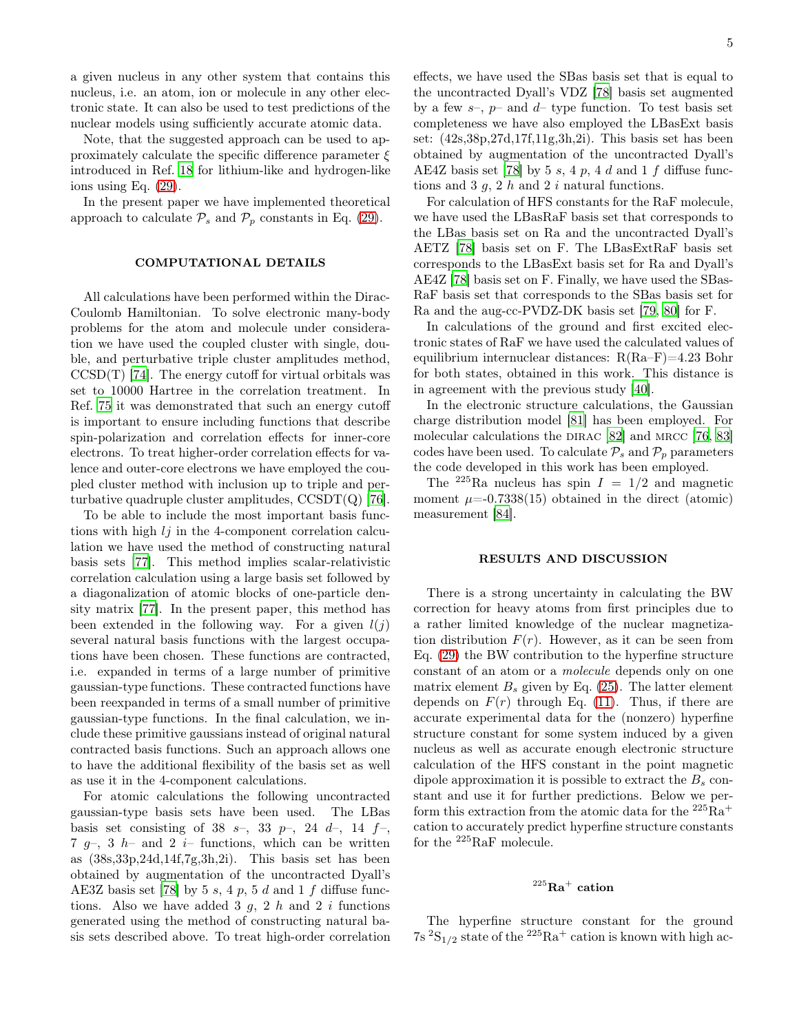a given nucleus in any other system that contains this nucleus, i.e. an atom, ion or molecule in any other electronic state. It can also be used to test predictions of the nuclear models using sufficiently accurate atomic data.

Note, that the suggested approach can be used to approximately calculate the specific difference parameter  $\xi$ introduced in Ref. [18](#page-8-17) for lithium-like and hydrogen-like ions using Eq. [\(29\)](#page-3-2).

In the present paper we have implemented theoretical approach to calculate  $\mathcal{P}_s$  and  $\mathcal{P}_p$  constants in Eq. [\(29\)](#page-3-2).

### COMPUTATIONAL DETAILS

All calculations have been performed within the Dirac-Coulomb Hamiltonian. To solve electronic many-body problems for the atom and molecule under consideration we have used the coupled cluster with single, double, and perturbative triple cluster amplitudes method,  $CCSD(T)$  [\[74](#page-9-13)]. The energy cutoff for virtual orbitals was set to 10000 Hartree in the correlation treatment. In Ref. [75](#page-9-14) it was demonstrated that such an energy cutoff is important to ensure including functions that describe spin-polarization and correlation effects for inner-core electrons. To treat higher-order correlation effects for valence and outer-core electrons we have employed the coupled cluster method with inclusion up to triple and perturbative quadruple cluster amplitudes,  $\text{CCSDT}(Q)$  [\[76\]](#page-9-15).

To be able to include the most important basis functions with high  $lj$  in the 4-component correlation calculation we have used the method of constructing natural basis sets [\[77\]](#page-9-16). This method implies scalar-relativistic correlation calculation using a large basis set followed by a diagonalization of atomic blocks of one-particle density matrix [\[77](#page-9-16)]. In the present paper, this method has been extended in the following way. For a given  $l(j)$ several natural basis functions with the largest occupations have been chosen. These functions are contracted, i.e. expanded in terms of a large number of primitive gaussian-type functions. These contracted functions have been reexpanded in terms of a small number of primitive gaussian-type functions. In the final calculation, we include these primitive gaussians instead of original natural contracted basis functions. Such an approach allows one to have the additional flexibility of the basis set as well as use it in the 4-component calculations.

For atomic calculations the following uncontracted gaussian-type basis sets have been used. The LBas basis set consisting of 38 s-, 33 p-, 24 d-, 14  $f$ -, 7  $q-$ , 3  $h-$  and 2  $i-$  functions, which can be written as (38s,33p,24d,14f,7g,3h,2i). This basis set has been obtained by augmentation of the uncontracted Dyall's AE3Z basis set [\[78\]](#page-9-17) by 5 s, 4 p, 5 d and 1 f diffuse functions. Also we have added 3  $g$ , 2  $h$  and 2  $i$  functions generated using the method of constructing natural basis sets described above. To treat high-order correlation effects, we have used the SBas basis set that is equal to the uncontracted Dyall's VDZ [\[78\]](#page-9-17) basis set augmented by a few  $s$ –,  $p$ – and  $d$ – type function. To test basis set completeness we have also employed the LBasExt basis set: (42s,38p,27d,17f,11g,3h,2i). This basis set has been obtained by augmentation of the uncontracted Dyall's AE4Z basis set [\[78](#page-9-17)] by 5 s, 4 p, 4 d and 1 f diffuse functions and 3  $q$ , 2  $h$  and 2  $i$  natural functions.

For calculation of HFS constants for the RaF molecule, we have used the LBasRaF basis set that corresponds to the LBas basis set on Ra and the uncontracted Dyall's AETZ [\[78\]](#page-9-17) basis set on F. The LBasExtRaF basis set corresponds to the LBasExt basis set for Ra and Dyall's AE4Z [\[78\]](#page-9-17) basis set on F. Finally, we have used the SBas-RaF basis set that corresponds to the SBas basis set for Ra and the aug-cc-PVDZ-DK basis set [\[79,](#page-9-18) [80\]](#page-9-19) for F.

In calculations of the ground and first excited electronic states of RaF we have used the calculated values of equilibrium internuclear distances: R(Ra–F)=4.23 Bohr for both states, obtained in this work. This distance is in agreement with the previous study [\[40](#page-8-30)].

In the electronic structure calculations, the Gaussian charge distribution model [\[81](#page-9-20)] has been employed. For molecular calculations the DIRAC [\[82\]](#page-9-21) and MRCC [\[76](#page-9-15), [83](#page-9-22)] codes have been used. To calculate  $\mathcal{P}_s$  and  $\mathcal{P}_p$  parameters the code developed in this work has been employed.

The <sup>225</sup>Ra nucleus has spin  $I = 1/2$  and magnetic moment  $\mu$ =-0.7338(15) obtained in the direct (atomic) measurement [\[84](#page-9-23)].

### RESULTS AND DISCUSSION

There is a strong uncertainty in calculating the BW correction for heavy atoms from first principles due to a rather limited knowledge of the nuclear magnetization distribution  $F(r)$ . However, as it can be seen from Eq. [\(29\)](#page-3-2) the BW contribution to the hyperfine structure constant of an atom or a molecule depends only on one matrix element  $B_s$  given by Eq. [\(25\)](#page-3-3). The latter element depends on  $F(r)$  through Eq. [\(11\)](#page-2-2). Thus, if there are accurate experimental data for the (nonzero) hyperfine structure constant for some system induced by a given nucleus as well as accurate enough electronic structure calculation of the HFS constant in the point magnetic dipole approximation it is possible to extract the  $B_s$  constant and use it for further predictions. Below we perform this extraction from the atomic data for the  $^{225}\mathrm{Ra}^{+}$ cation to accurately predict hyperfine structure constants for the <sup>225</sup>RaF molecule.

## $\rm ^{225}Ra^+$  cation

The hyperfine structure constant for the ground  $7s<sup>2</sup>S<sub>1/2</sub>$  state of the  $2<sup>25</sup>Ra<sup>+</sup>$  cation is known with high ac-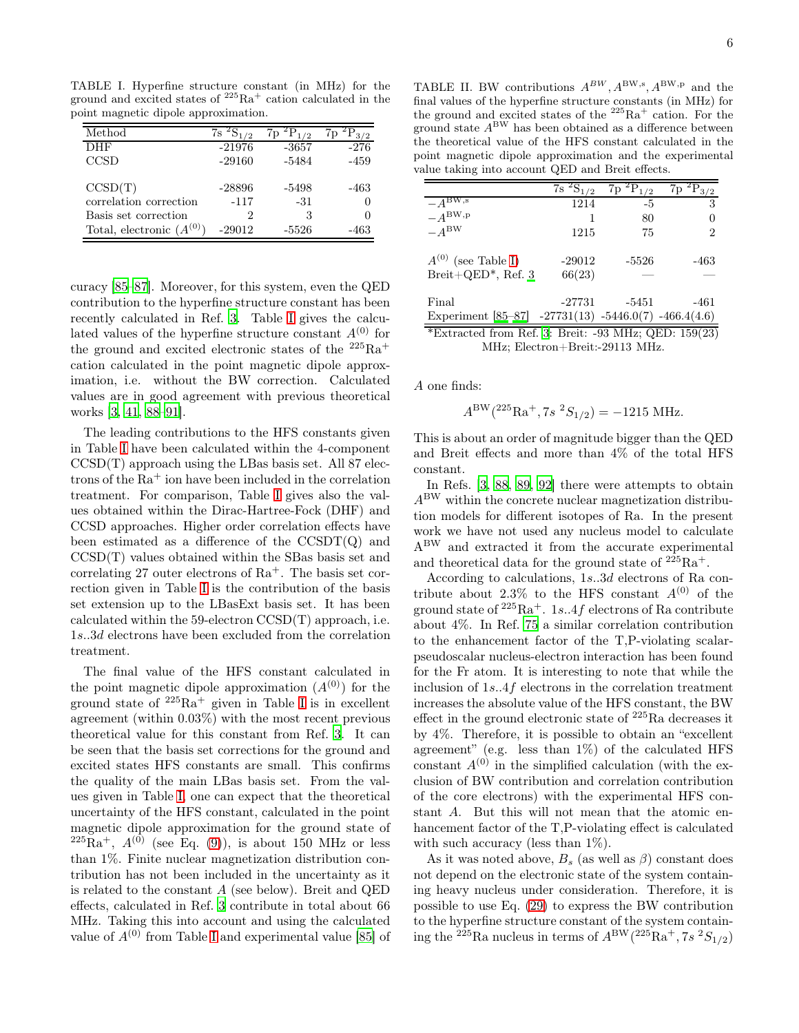TABLE I. Hyperfine structure constant (in MHz) for the ground and excited states of  $2^{25}Ra^{+}$  cation calculated in the point magnetic dipole approximation.

<span id="page-5-0"></span>

| Method                        | 72       | $\sqrt{2}$ |        |
|-------------------------------|----------|------------|--------|
| DHF                           | $-21976$ | -3657      | $-276$ |
| CCSD                          | $-29160$ | -5484      | -459   |
| CCSD(T)                       | $-28896$ | -5498      | -463   |
| correlation correction        | $-117$   | $-31$      | $\Box$ |
| Basis set correction          | 2        |            |        |
| Total, electronic $(A^{(0)})$ | $-29012$ | $-5526$    | -463   |

curacy [\[85](#page-9-24)[–87](#page-9-25)]. Moreover, for this system, even the QED contribution to the hyperfine structure constant has been recently calculated in Ref. [3](#page-8-31). Table [I](#page-5-0) gives the calculated values of the hyperfine structure constant  $A^{(0)}$  for the ground and excited electronic states of the  $225Ra^+$ cation calculated in the point magnetic dipole approximation, i.e. without the BW correction. Calculated values are in good agreement with previous theoretical works [\[3](#page-8-31), [41](#page-8-32), [88](#page-9-26)[–91](#page-9-27)].

The leading contributions to the HFS constants given in Table [I](#page-5-0) have been calculated within the 4-component  $CCSD(T)$  approach using the LBas basis set. All 87 electrons of the  $Ra^+$  ion have been included in the correlation treatment. For comparison, Table [I](#page-5-0) gives also the values obtained within the Dirac-Hartree-Fock (DHF) and CCSD approaches. Higher order correlation effects have been estimated as a difference of the  $\text{CCSDT}(Q)$  and CCSD(T) values obtained within the SBas basis set and correlating 27 outer electrons of  $Ra^+$ . The basis set correction given in Table [I](#page-5-0) is the contribution of the basis set extension up to the LBasExt basis set. It has been calculated within the 59-electron CCSD(T) approach, i.e. 1s..3d electrons have been excluded from the correlation treatment.

The final value of the HFS constant calculated in the point magnetic dipole approximation  $(A^{(0)})$  for the ground state of  $225Ra$ <sup>+</sup> given in Table [I](#page-5-0) is in excellent agreement (within 0.03%) with the most recent previous theoretical value for this constant from Ref. [3](#page-8-31). It can be seen that the basis set corrections for the ground and excited states HFS constants are small. This confirms the quality of the main LBas basis set. From the values given in Table [I,](#page-5-0) one can expect that the theoretical uncertainty of the HFS constant, calculated in the point magnetic dipole approximation for the ground state of  $^{225}Ra^{+}$ ,  $A^{(0)}$  (see Eq. [\(9\)](#page-2-0)), is about 150 MHz or less than 1%. Finite nuclear magnetization distribution contribution has not been included in the uncertainty as it is related to the constant A (see below). Breit and QED effects, calculated in Ref. [3](#page-8-31) contribute in total about 66 MHz. Taking this into account and using the calculated value of  $A^{(0)}$  from Table [I](#page-5-0) and experimental value [\[85](#page-9-24)] of

<span id="page-5-1"></span>TABLE II. BW contributions  $A^{BW}$ ,  $A^{BW,s}$ ,  $A^{BW,p}$  and the final values of the hyperfine structure constants (in MHz) for the ground and excited states of the  $225Ra^+$  cation. For the ground state  $A^{\text{BW}}$  has been obtained as a difference between the theoretical value of the HFS constant calculated in the point magnetic dipole approximation and the experimental value taking into account QED and Breit effects.

|                                                        | ${}^{2}S_{1/2}$<br>7s | ${}^{2}P_{1/2}$<br>7p | 7p<br>3/2 |
|--------------------------------------------------------|-----------------------|-----------------------|-----------|
| $-A^{BW,s}$                                            | 1214                  | -5                    | 3         |
| $-A^{\text{BW},\text{p}}$                              | 1                     | 80                    |           |
| $-A^{BW}$                                              | 1215                  | 75                    | 2         |
| $A^{(0)}$ (see Table I)                                | -29012                | $-5526$               | -463      |
| Breit+QED*, Ref. $3$                                   | 66(23)                |                       |           |
| Final                                                  | $-27731$              | -5451                 | -461      |
| Experiment $[85-87]$ -27731(13) -5446.0(7) -466.4(4.6) |                       |                       |           |
| $\sqrt{10}$ $\sqrt{10}$                                |                       | DCOD : 00 MIL OUD     | 1.50(0.0) |

\*Extracted from Ref. [3:](#page-8-31) Breit: -93 MHz; QED: 159(23) MHz; Electron+Breit:-29113 MHz.

A one finds:

$$
A^{\rm BW}(^{225}{\rm Ra}^+, 7s~^2S_{1/2}) = -1215 \text{ MHz}.
$$

This is about an order of magnitude bigger than the QED and Breit effects and more than 4% of the total HFS constant.

In Refs. [\[3](#page-8-31), [88,](#page-9-26) [89](#page-9-28), [92\]](#page-9-29) there were attempts to obtain  $A<sup>BW</sup>$  within the concrete nuclear magnetization distribution models for different isotopes of Ra. In the present work we have not used any nucleus model to calculate ABW and extracted it from the accurate experimental and theoretical data for the ground state of  $225Ra^+$ .

According to calculations, 1s..3d electrons of Ra contribute about 2.3% to the HFS constant  $A^{(0)}$  of the ground state of  $225Ra^+$ . 1s. 4f electrons of Ra contribute about 4%. In Ref. [75](#page-9-14) a similar correlation contribution to the enhancement factor of the T,P-violating scalarpseudoscalar nucleus-electron interaction has been found for the Fr atom. It is interesting to note that while the inclusion of 1s..4f electrons in the correlation treatment increases the absolute value of the HFS constant, the BW effect in the ground electronic state of <sup>225</sup>Ra decreases it by 4%. Therefore, it is possible to obtain an "excellent agreement" (e.g. less than  $1\%$ ) of the calculated HFS constant  $A^{(0)}$  in the simplified calculation (with the exclusion of BW contribution and correlation contribution of the core electrons) with the experimental HFS constant A. But this will not mean that the atomic enhancement factor of the T,P-violating effect is calculated with such accuracy (less than  $1\%$ ).

As it was noted above,  $B_s$  (as well as  $\beta$ ) constant does not depend on the electronic state of the system containing heavy nucleus under consideration. Therefore, it is possible to use Eq. [\(29\)](#page-3-2) to express the BW contribution to the hyperfine structure constant of the system containing the <sup>225</sup>Ra nucleus in terms of  $A^{\text{BW}}$  (<sup>225</sup>Ra<sup>+</sup>, 7s<sup>2</sup>S<sub>1/2</sub>)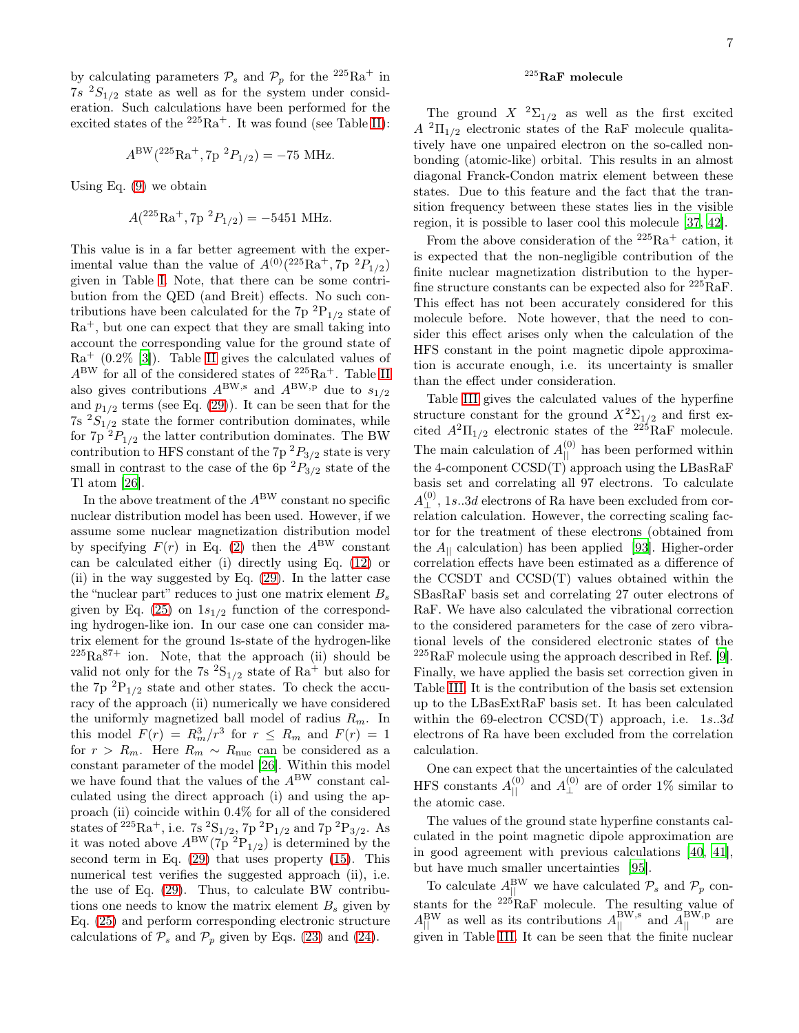by calculating parameters  $P_s$  and  $P_p$  for the <sup>225</sup>Ra<sup>+</sup> in  $7s<sup>2</sup>S<sub>1/2</sub>$  state as well as for the system under consideration. Such calculations have been performed for the excited states of the  $^{225}\mathrm{Ra}^+$  . It was found (see Table [II\)](#page-5-1):

$$
A^{\rm BW}(^{225}{\rm Ra}^+, 7p~^2P_{1/2}) = -75 \text{ MHz}.
$$

Using Eq. [\(9\)](#page-2-0) we obtain

$$
A(^{225}\text{Ra}^+, 7\text{p}^2P_{1/2}) = -5451 \text{ MHz}.
$$

This value is in a far better agreement with the experimental value than the value of  $A^{(0)}$ ( $^{225}Ra^+, 7p$   $^2P_{1/2}$ ) given in Table [I.](#page-5-0) Note, that there can be some contribution from the QED (and Breit) effects. No such contributions have been calculated for the  $7p^{2}P_{1/2}$  state of  $Ra<sup>+</sup>$ , but one can expect that they are small taking into account the corresponding value for the ground state of  $Ra^{+}$  (0.2% [\[3\]](#page-8-31)). Table [II](#page-5-1) gives the calculated values of  $A^{BW}$  for all of the considered states of  $2^{25}Ra^{+}$ . Table [II](#page-5-1) also gives contributions  $A^{BW,s}$  and  $A^{BW,p}$  due to  $s_{1/2}$ and  $p_{1/2}$  terms (see Eq. [\(29\)](#page-3-2)). It can be seen that for the  $7s<sup>2</sup>S<sub>1/2</sub>$  state the former contribution dominates, while for  $7p^2P_{1/2}$  the latter contribution dominates. The BW contribution to HFS constant of the  $7p^2P_{3/2}$  state is very small in contrast to the case of the  $6p^2P_{3/2}$  state of the Tl atom [\[26\]](#page-8-33).

In the above treatment of the  $A^{\text{BW}}$  constant no specific nuclear distribution model has been used. However, if we assume some nuclear magnetization distribution model by specifying  $F(r)$  in Eq. [\(2\)](#page-1-2) then the  $A^{\text{BW}}$  constant can be calculated either (i) directly using Eq. [\(12\)](#page-2-6) or (ii) in the way suggested by Eq. [\(29\)](#page-3-2). In the latter case the "nuclear part" reduces to just one matrix element  $B_s$ given by Eq. [\(25\)](#page-3-3) on  $1s_{1/2}$  function of the corresponding hydrogen-like ion. In our case one can consider matrix element for the ground 1s-state of the hydrogen-like  $225Ra^{87+}$  ion. Note, that the approach (ii) should be valid not only for the 7s  ${}^{2}S_{1/2}$  state of Ra<sup>+</sup> but also for the 7p  ${}^{2}P_{1/2}$  state and other states. To check the accuracy of the approach (ii) numerically we have considered the uniformly magnetized ball model of radius  $R_m$ . In this model  $F(r) = R_m^3/r^3$  for  $r \le R_m$  and  $F(r) = 1$ for  $r > R_m$ . Here  $R_m \sim R_{\text{nuc}}$  can be considered as a constant parameter of the model [\[26](#page-8-33)]. Within this model we have found that the values of the  $A^{\text{BW}}$  constant calculated using the direct approach (i) and using the approach (ii) coincide within 0.4% for all of the considered states of <sup>225</sup>Ra<sup>+</sup>, i.e. 7s <sup>2</sup>S<sub>1/2</sub>, 7p <sup>2</sup>P<sub>1/2</sub> and 7p <sup>2</sup>P<sub>3/2</sub>. As it was noted above  $A^{\text{BW}}(7p~^2P_{1/2})$  is determined by the second term in Eq. [\(29\)](#page-3-2) that uses property [\(15\)](#page-2-7). This numerical test verifies the suggested approach (ii), i.e. the use of Eq. [\(29\)](#page-3-2). Thus, to calculate BW contributions one needs to know the matrix element  $B_s$  given by Eq. [\(25\)](#page-3-3) and perform corresponding electronic structure calculations of  $\mathcal{P}_s$  and  $\mathcal{P}_p$  given by Eqs. [\(23\)](#page-3-3) and [\(24\)](#page-3-3).

### $^{225}$ RaF molecule

The ground  $X^{-2}\Sigma_{1/2}$  as well as the first excited  $A^{2}\Pi_{1/2}$  electronic states of the RaF molecule qualitatively have one unpaired electron on the so-called nonbonding (atomic-like) orbital. This results in an almost diagonal Franck-Condon matrix element between these states. Due to this feature and the fact that the transition frequency between these states lies in the visible region, it is possible to laser cool this molecule [\[37,](#page-8-20) [42\]](#page-8-21).

From the above consideration of the  $225Ra^+$  cation, it is expected that the non-negligible contribution of the finite nuclear magnetization distribution to the hyperfine structure constants can be expected also for  $225 \text{RaF}$ . This effect has not been accurately considered for this molecule before. Note however, that the need to consider this effect arises only when the calculation of the HFS constant in the point magnetic dipole approximation is accurate enough, i.e. its uncertainty is smaller than the effect under consideration.

Table [III](#page-7-0) gives the calculated values of the hyperfine structure constant for the ground  $X^2\Sigma_{1/2}$  and first excited  $A^2\Pi_{1/2}$  electronic states of the <sup>225</sup>RaF molecule. The main calculation of  $A_{\parallel}^{(0)}$  has been performed within the 4-component  $\text{CCSD(T)}$  approach using the LBasRaF basis set and correlating all 97 electrons. To calculate  $A_{\perp}^{(0)}$ , 1s..3d electrons of Ra have been excluded from correlation calculation. However, the correcting scaling factor for the treatment of these electrons (obtained from the  $A_{\parallel}$  calculation) has been applied [\[93\]](#page-9-30). Higher-order correlation effects have been estimated as a difference of the CCSDT and CCSD(T) values obtained within the SBasRaF basis set and correlating 27 outer electrons of RaF. We have also calculated the vibrational correction to the considered parameters for the case of zero vibrational levels of the considered electronic states of the  $225$ RaF molecule using the approach described in Ref. [\[9\]](#page-8-34). Finally, we have applied the basis set correction given in Table [III.](#page-7-0) It is the contribution of the basis set extension up to the LBasExtRaF basis set. It has been calculated within the 69-electron CCSD(T) approach, i.e.  $1s.3d$ electrons of Ra have been excluded from the correlation calculation.

One can expect that the uncertainties of the calculated HFS constants  $A_{\parallel}^{(0)}$  and  $A_{\perp}^{(0)}$  are of order 1% similar to the atomic case.

The values of the ground state hyperfine constants calculated in the point magnetic dipole approximation are in good agreement with previous calculations [\[40](#page-8-30), [41\]](#page-8-32), but have much smaller uncertainties [\[95](#page-9-31)].

To calculate  $A_{\parallel}^{\text{BW}}$  we have calculated  $\mathcal{P}_s$  and  $\mathcal{P}_p$  constants for the <sup>225</sup>RaF molecule. The resulting value of  $A_{\parallel}^{\text{BW}}$  as well as its contributions  $A_{\parallel}^{\text{BW},\text{s}}$  and  $A_{\parallel}^{\text{BW},\text{p}}$  are given in Table [III.](#page-7-0) It can be seen that the finite nuclear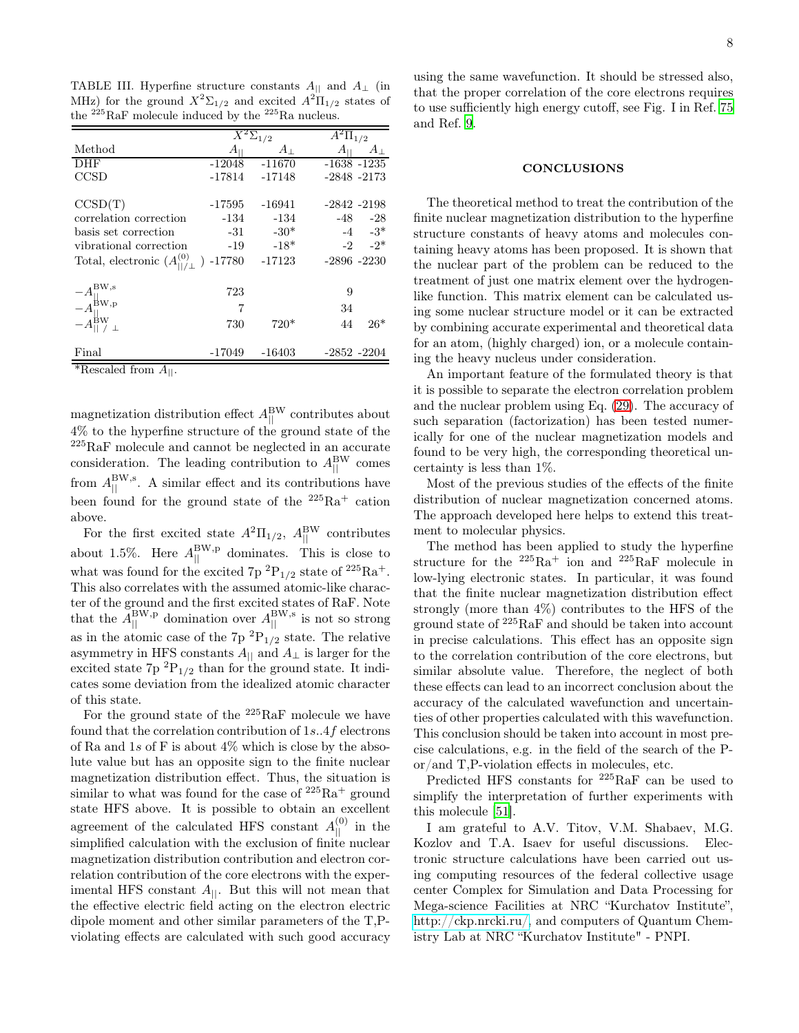<span id="page-7-0"></span>TABLE III. Hyperfine structure constants  $A_{||}$  and  $A_{\perp}$  (in MHz) for the ground  $X^2 \Sigma_{1/2}$  and excited  $A^2 \Pi_{1/2}$  states of the <sup>225</sup>RaF molecule induced by the <sup>225</sup>Ra nucleus.

|                                                                                                                      | $\overline{X^2\Sigma}_{1/2}$ |             | $\overline{A^2\Pi_{1/2}}$  |  |
|----------------------------------------------------------------------------------------------------------------------|------------------------------|-------------|----------------------------|--|
| Method                                                                                                               | $A_{\mathbb H}$              | $A_{\perp}$ | $A_{\rm H}$<br>$A_{\perp}$ |  |
| <b>DHF</b>                                                                                                           | -12048                       | $-11670$    | $-1638 - 1235$             |  |
| CCSD                                                                                                                 | -17814                       | -17148      | $-2848 - 2173$             |  |
|                                                                                                                      |                              |             |                            |  |
| CCSD(T)                                                                                                              | -17595                       | $-16941$    | $-2842 - 2198$             |  |
| correlation correction                                                                                               | -134                         | $-134$      | $-48 - 28$                 |  |
| basis set correction                                                                                                 | $-31$                        | $-30*$      | $-4 \t -3^*$               |  |
| vibrational correction                                                                                               | $-19$                        | $-18*$      | $-2 - 2^*$                 |  |
| Total, electronic $(A_{  \; / \;  }^{(0)}$ $)$ -17780 $-17123$                                                       |                              |             | $-2896 - 2230$             |  |
|                                                                                                                      | 723                          |             | 9                          |  |
|                                                                                                                      | 7                            |             | 34                         |  |
| $-A^{\text{BW},\text{s}}_{\parallel}$<br>$-A^{\text{BW},\text{p}}_{\parallel}$<br>$-A^{\text{BW}}_{\parallel}/\perp$ | 730                          | $720*$      | $26*$<br>44                |  |
| Final                                                                                                                | -17049                       | $-16403$    | $-2852 - 2204$             |  |
| *Rescaled from $A_{  }$ .                                                                                            |                              |             |                            |  |

magnetization distribution effect  $A_{\parallel}^{\rm BW}$  contributes about 4% to the hyperfine structure of the ground state of the <sup>225</sup>RaF molecule and cannot be neglected in an accurate consideration. The leading contribution to  $A_{\parallel}^{\rm BW}$  comes from  $A_{\parallel}^{\text{BW},\text{s}}$ . A similar effect and its contributions have been found for the ground state of the  $225Ra^+$  cation above.

For the first excited state  $A^2\Pi_{1/2}$ ,  $A_{\parallel}^{\rm BW}$  contributes about 1.5%. Here  $A_{\parallel}^{\text{BW},p}$  dominates. This is close to what was found for the excited 7p  ${}^{2}P_{1/2}$  state of  ${}^{225}Ra^{+}$ . This also correlates with the assumed atomic-like character of the ground and the first excited states of RaF. Note that the  $\tilde{A}_{\parallel}^{\text{BW},p}$  domination over  $A_{\parallel}^{\text{BW},s}$  is not so strong as in the atomic case of the 7p  ${}^{2}P_{1/2}$  state. The relative asymmetry in HFS constants  $A_{\parallel}$  and  $A_{\perp}$  is larger for the excited state  $7p^{2}P_{1/2}$  than for the ground state. It indicates some deviation from the idealized atomic character of this state.

For the ground state of the <sup>225</sup>RaF molecule we have found that the correlation contribution of 1s..4f electrons of Ra and 1s of F is about  $4\%$  which is close by the absolute value but has an opposite sign to the finite nuclear magnetization distribution effect. Thus, the situation is similar to what was found for the case of  $225Ra^+$  ground state HFS above. It is possible to obtain an excellent agreement of the calculated HFS constant  $A_{\parallel}^{(0)}$  in the simplified calculation with the exclusion of finite nuclear magnetization distribution contribution and electron correlation contribution of the core electrons with the experimental HFS constant  $A_{||}$ . But this will not mean that the effective electric field acting on the electron electric dipole moment and other similar parameters of the T,Pviolating effects are calculated with such good accuracy

using the same wavefunction. It should be stressed also, that the proper correlation of the core electrons requires to use sufficiently high energy cutoff, see Fig. I in Ref. [75](#page-9-14) and Ref. [9](#page-8-34).

### CONCLUSIONS

The theoretical method to treat the contribution of the finite nuclear magnetization distribution to the hyperfine structure constants of heavy atoms and molecules containing heavy atoms has been proposed. It is shown that the nuclear part of the problem can be reduced to the treatment of just one matrix element over the hydrogenlike function. This matrix element can be calculated using some nuclear structure model or it can be extracted by combining accurate experimental and theoretical data for an atom, (highly charged) ion, or a molecule containing the heavy nucleus under consideration.

An important feature of the formulated theory is that it is possible to separate the electron correlation problem and the nuclear problem using Eq. [\(29\)](#page-3-2). The accuracy of such separation (factorization) has been tested numerically for one of the nuclear magnetization models and found to be very high, the corresponding theoretical uncertainty is less than 1%.

Most of the previous studies of the effects of the finite distribution of nuclear magnetization concerned atoms. The approach developed here helps to extend this treatment to molecular physics.

The method has been applied to study the hyperfine structure for the  $2^{25}Ra^{+}$  ion and  $2^{25}RaF$  molecule in low-lying electronic states. In particular, it was found that the finite nuclear magnetization distribution effect strongly (more than 4%) contributes to the HFS of the ground state of <sup>225</sup>RaF and should be taken into account in precise calculations. This effect has an opposite sign to the correlation contribution of the core electrons, but similar absolute value. Therefore, the neglect of both these effects can lead to an incorrect conclusion about the accuracy of the calculated wavefunction and uncertainties of other properties calculated with this wavefunction. This conclusion should be taken into account in most precise calculations, e.g. in the field of the search of the Por/and T,P-violation effects in molecules, etc.

Predicted HFS constants for <sup>225</sup>RaF can be used to simplify the interpretation of further experiments with this molecule [\[51](#page-9-1)].

I am grateful to A.V. Titov, V.M. Shabaev, M.G. Kozlov and T.A. Isaev for useful discussions. Electronic structure calculations have been carried out using computing resources of the federal collective usage center Complex for Simulation and Data Processing for Mega-science Facilities at NRC "Kurchatov Institute", [http://ckp.nrcki.ru/,](http://ckp.nrcki.ru/) and computers of Quantum Chemistry Lab at NRC "Kurchatov Institute" - PNPI.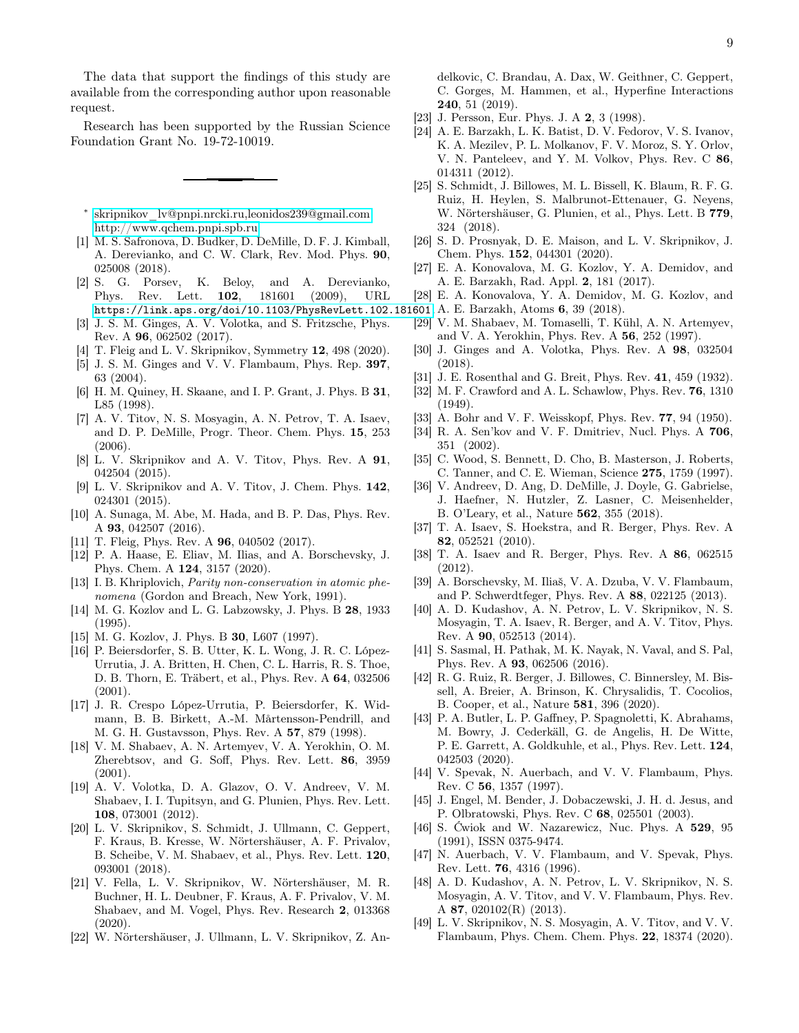The data that support the findings of this study are available from the corresponding author upon reasonable request.

Research has been supported by the Russian Science Foundation Grant No. 19-72-10019.

- <span id="page-8-0"></span>∗ [skripnikov\\_lv@pnpi.nrcki.ru,leonidos239@gmail.com;](mailto:skripnikov_lv@pnpi.nrcki.ru,\ leonidos239@gmail.com) <http://www.qchem.pnpi.spb.ru>
- <span id="page-8-1"></span>[1] M. S. Safronova, D. Budker, D. DeMille, D. F. J. Kimball, A. Derevianko, and C. W. Clark, Rev. Mod. Phys. 90, 025008 (2018).
- [2] S. G. Porsev, K. Beloy, and A. Derevianko, Phys. Rev. Lett. 102, 181601 (2009), URL <https://link.aps.org/doi/10.1103/PhysRevLett.102.181601>. A. E. Barzakh, Atoms 6, 39 (2018).
- <span id="page-8-31"></span>[3] J. S. M. Ginges, A. V. Volotka, and S. Fritzsche, Phys. Rev. A 96, 062502 (2017).
- <span id="page-8-27"></span>[4] T. Fleig and L. V. Skripnikov, Symmetry 12, 498 (2020).
- <span id="page-8-2"></span>[5] J. S. M. Ginges and V. V. Flambaum, Phys. Rep. 397, 63 (2004).
- <span id="page-8-3"></span>[6] H. M. Quiney, H. Skaane, and I. P. Grant, J. Phys. B 31, L85 (1998).
- [7] A. V. Titov, N. S. Mosyagin, A. N. Petrov, T. A. Isaev, and D. P. DeMille, Progr. Theor. Chem. Phys. 15, 253  $(2006).$
- <span id="page-8-29"></span>[8] L. V. Skripnikov and A. V. Titov, Phys. Rev. A 91, 042504 (2015).
- <span id="page-8-34"></span>[9] L. V. Skripnikov and A. V. Titov, J. Chem. Phys. 142, 024301 (2015).
- [10] A. Sunaga, M. Abe, M. Hada, and B. P. Das, Phys. Rev. A 93, 042507 (2016).
- <span id="page-8-28"></span>[11] T. Fleig, Phys. Rev. A **96**, 040502 (2017).
- <span id="page-8-4"></span>[12] P. A. Haase, E. Eliav, M. Ilias, and A. Borschevsky, J. Phys. Chem. A 124, 3157 (2020).
- <span id="page-8-5"></span>[13] I. B. Khriplovich, *Parity non-conservation in atomic phe*nomena (Gordon and Breach, New York, 1991).
- [14] M. G. Kozlov and L. G. Labzowsky, J. Phys. B 28, 1933 (1995).
- <span id="page-8-6"></span>[15] M. G. Kozlov, J. Phys. B 30, L607 (1997).
- <span id="page-8-7"></span>[16] P. Beiersdorfer, S. B. Utter, K. L. Wong, J. R. C. López-Urrutia, J. A. Britten, H. Chen, C. L. Harris, R. S. Thoe, D. B. Thorn, E. Träbert, et al., Phys. Rev. A 64, 032506 (2001).
- [17] J. R. Crespo López-Urrutia, P. Beiersdorfer, K. Widmann, B. B. Birkett, A.-M. Mårtensson-Pendrill, and M. G. H. Gustavsson, Phys. Rev. A 57, 879 (1998).
- <span id="page-8-17"></span>[18] V. M. Shabaev, A. N. Artemyev, V. A. Yerokhin, O. M. Zherebtsov, and G. Soff, Phys. Rev. Lett. 86, 3959 (2001).
- [19] A. V. Volotka, D. A. Glazov, O. V. Andreev, V. M. Shabaev, I. I. Tupitsyn, and G. Plunien, Phys. Rev. Lett. 108, 073001 (2012).
- [20] L. V. Skripnikov, S. Schmidt, J. Ullmann, C. Geppert, F. Kraus, B. Kresse, W. Nörtershäuser, A. F. Privalov, B. Scheibe, V. M. Shabaev, et al., Phys. Rev. Lett. 120, 093001 (2018).
- [21] V. Fella, L. V. Skripnikov, W. Nörtershäuser, M. R. Buchner, H. L. Deubner, F. Kraus, A. F. Privalov, V. M. Shabaev, and M. Vogel, Phys. Rev. Research 2, 013368 (2020).
- <span id="page-8-8"></span>[22] W. Nörtershäuser, J. Ullmann, L. V. Skripnikov, Z. An-

delkovic, C. Brandau, A. Dax, W. Geithner, C. Geppert, C. Gorges, M. Hammen, et al., Hyperfine Interactions 240, 51 (2019).

- <span id="page-8-9"></span>[23] J. Persson, Eur. Phys. J. A 2, 3 (1998).
- [24] A. E. Barzakh, L. K. Batist, D. V. Fedorov, V. S. Ivanov, K. A. Mezilev, P. L. Molkanov, F. V. Moroz, S. Y. Orlov, V. N. Panteleev, and Y. M. Volkov, Phys. Rev. C 86, 014311 (2012).
- [25] S. Schmidt, J. Billowes, M. L. Bissell, K. Blaum, R. F. G. Ruiz, H. Heylen, S. Malbrunot-Ettenauer, G. Neyens, W. Nörtershäuser, G. Plunien, et al., Phys. Lett. B 779, 324 (2018).
- <span id="page-8-33"></span>[26] S. D. Prosnyak, D. E. Maison, and L. V. Skripnikov, J. Chem. Phys. 152, 044301 (2020).
- [27] E. A. Konovalova, M. G. Kozlov, Y. A. Demidov, and A. E. Barzakh, Rad. Appl. 2, 181 (2017).
- <span id="page-8-10"></span>[28] E. A. Konovalova, Y. A. Demidov, M. G. Kozlov, and
- 
- <span id="page-8-11"></span>[29] V. M. Shabaev, M. Tomaselli, T. Kühl, A. N. Artemyev, and V. A. Yerokhin, Phys. Rev. A 56, 252 (1997).
- <span id="page-8-12"></span>[30] J. Ginges and A. Volotka, Phys. Rev. A 98, 032504 (2018).
- <span id="page-8-13"></span>[31] J. E. Rosenthal and G. Breit, Phys. Rev. 41, 459 (1932).
- <span id="page-8-14"></span>[32] M. F. Crawford and A. L. Schawlow, Phys. Rev. 76, 1310 (1949).
- <span id="page-8-15"></span>[33] A. Bohr and V. F. Weisskopf, Phys. Rev. **77**, 94 (1950).
- <span id="page-8-16"></span>[34] R. A. Sen'kov and V. F. Dmitriev, Nucl. Phys. A 706, 351 (2002).
- <span id="page-8-18"></span>[35] C. Wood, S. Bennett, D. Cho, B. Masterson, J. Roberts, C. Tanner, and C. E. Wieman, Science 275, 1759 (1997).
- <span id="page-8-19"></span>[36] V. Andreev, D. Ang, D. DeMille, J. Doyle, G. Gabrielse, J. Haefner, N. Hutzler, Z. Lasner, C. Meisenhelder, B. O'Leary, et al., Nature 562, 355 (2018).
- <span id="page-8-20"></span>[37] T. A. Isaev, S. Hoekstra, and R. Berger, Phys. Rev. A 82, 052521 (2010).
- [38] T. A. Isaev and R. Berger, Phys. Rev. A 86, 062515 (2012).
- [39] A. Borschevsky, M. Iliaš, V. A. Dzuba, V. V. Flambaum, and P. Schwerdtfeger, Phys. Rev. A 88, 022125 (2013).
- <span id="page-8-30"></span>[40] A. D. Kudashov, A. N. Petrov, L. V. Skripnikov, N. S. Mosyagin, T. A. Isaev, R. Berger, and A. V. Titov, Phys. Rev. A 90, 052513 (2014).
- <span id="page-8-32"></span>[41] S. Sasmal, H. Pathak, M. K. Nayak, N. Vaval, and S. Pal, Phys. Rev. A 93, 062506 (2016).
- <span id="page-8-21"></span>[42] R. G. Ruiz, R. Berger, J. Billowes, C. Binnersley, M. Bissell, A. Breier, A. Brinson, K. Chrysalidis, T. Cocolios, B. Cooper, et al., Nature 581, 396 (2020).
- <span id="page-8-22"></span>[43] P. A. Butler, L. P. Gaffney, P. Spagnoletti, K. Abrahams, M. Bowry, J. Cederkäll, G. de Angelis, H. De Witte, P. E. Garrett, A. Goldkuhle, et al., Phys. Rev. Lett. 124, 042503 (2020).
- <span id="page-8-24"></span>[44] V. Spevak, N. Auerbach, and V. V. Flambaum, Phys. Rev. C 56, 1357 (1997).
- [45] J. Engel, M. Bender, J. Dobaczewski, J. H. d. Jesus, and P. Olbratowski, Phys. Rev. C 68, 025501 (2003).
- <span id="page-8-23"></span>[46] S. Ćwiok and W. Nazarewicz, Nuc. Phys. A 529, 95 (1991), ISSN 0375-9474.
- <span id="page-8-25"></span>[47] N. Auerbach, V. V. Flambaum, and V. Spevak, Phys. Rev. Lett. 76, 4316 (1996).
- [48] A. D. Kudashov, A. N. Petrov, L. V. Skripnikov, N. S. Mosyagin, A. V. Titov, and V. V. Flambaum, Phys. Rev. A 87, 020102(R) (2013).
- <span id="page-8-26"></span>[49] L. V. Skripnikov, N. S. Mosyagin, A. V. Titov, and V. V. Flambaum, Phys. Chem. Chem. Phys. 22, 18374 (2020).